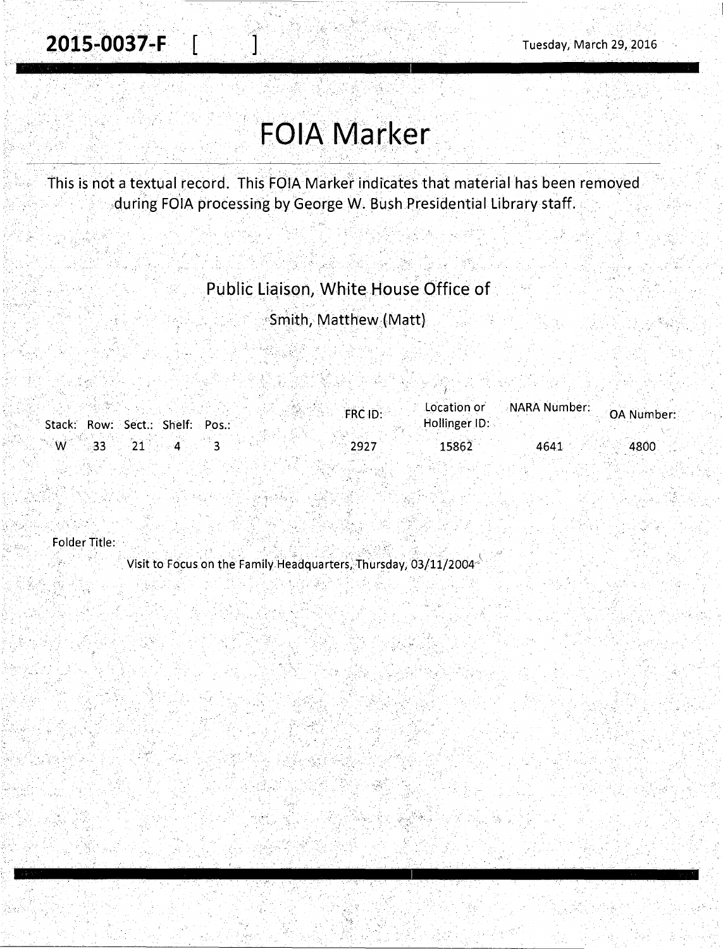$\cdot$ 

## **FOIA Marker**

This is not a textual record. This FOIA Marker indicates that material has been removed during FOIA processing by George W. Bush Presidential Library staff.

## Public Liaison, White House Office of

Smith, Matthew (Matt)

|                                 | FRC ID: |               | Location or NARA Number: | OA Number: |
|---------------------------------|---------|---------------|--------------------------|------------|
| Stack: Row: Sect.: Shelf: Pos.: |         | Hollinger ID: |                          |            |
|                                 |         |               |                          |            |
| $W = 33$ 21                     | 2927    | 15862         | 4641                     | 4800       |

Folder Title:

Visit to Focus on the Family Headquarters, Thursday, 03/11/2004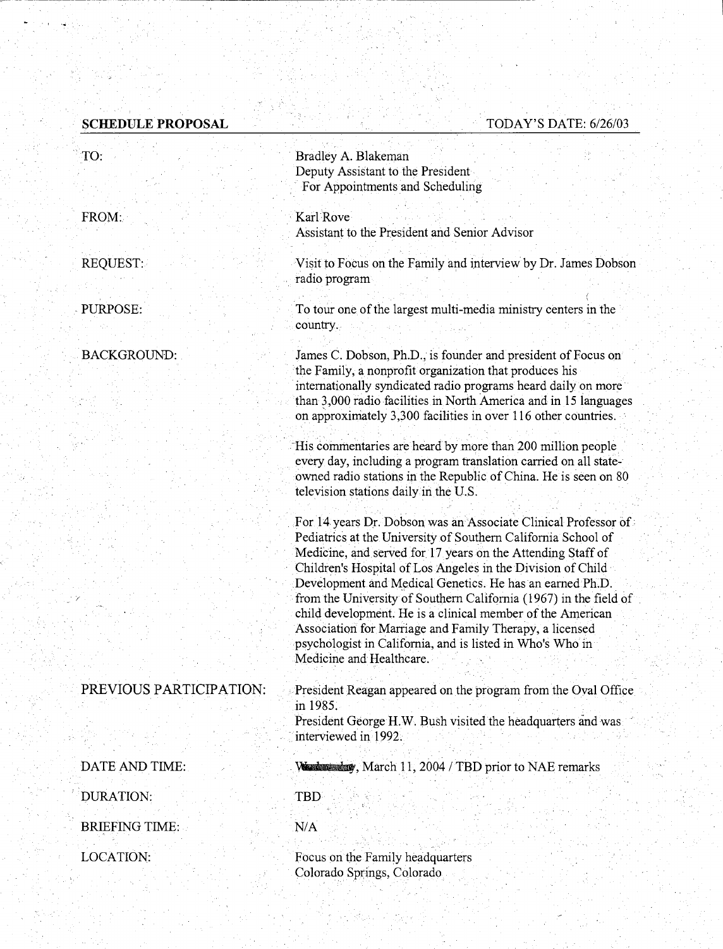## **SCHEDULE PROPOSAL**

## TODAY'S DATE: 6/26/03

| TO:                     | Bradley A. Blakeman                                                                                                   |  |  |
|-------------------------|-----------------------------------------------------------------------------------------------------------------------|--|--|
|                         | Deputy Assistant to the President                                                                                     |  |  |
|                         | For Appointments and Scheduling                                                                                       |  |  |
|                         |                                                                                                                       |  |  |
| FROM:                   | Karl Rove<br>Assistant to the President and Senior Advisor                                                            |  |  |
|                         |                                                                                                                       |  |  |
| REQUEST:                | Visit to Focus on the Family and interview by Dr. James Dobson                                                        |  |  |
|                         | radio program                                                                                                         |  |  |
|                         |                                                                                                                       |  |  |
| PURPOSE:                | To tour one of the largest multi-media ministry centers in the                                                        |  |  |
|                         | country.                                                                                                              |  |  |
| <b>BACKGROUND:</b>      | James C. Dobson, Ph.D., is founder and president of Focus on                                                          |  |  |
|                         | the Family, a nonprofit organization that produces his                                                                |  |  |
|                         | internationally syndicated radio programs heard daily on more                                                         |  |  |
|                         | than 3,000 radio facilities in North America and in 15 languages                                                      |  |  |
|                         | on approximately 3,300 facilities in over 116 other countries.                                                        |  |  |
|                         | His commentaries are heard by more than 200 million people                                                            |  |  |
|                         | every day, including a program translation carried on all state-                                                      |  |  |
|                         | owned radio stations in the Republic of China. He is seen on 80                                                       |  |  |
|                         | television stations daily in the U.S.                                                                                 |  |  |
|                         | For 14 years Dr. Dobson was an Associate Clinical Professor of                                                        |  |  |
|                         | Pediatrics at the University of Southern California School of                                                         |  |  |
|                         | Medicine, and served for 17 years on the Attending Staff of                                                           |  |  |
|                         | Children's Hospital of Los Angeles in the Division of Child                                                           |  |  |
|                         | Development and Medical Genetics. He has an earned Ph.D.                                                              |  |  |
|                         | from the University of Southern California (1967) in the field of                                                     |  |  |
|                         | child development. He is a clinical member of the American<br>Association for Marriage and Family Therapy, a licensed |  |  |
|                         | psychologist in California, and is listed in Who's Who in                                                             |  |  |
|                         | Medicine and Healthcare.                                                                                              |  |  |
|                         |                                                                                                                       |  |  |
| PREVIOUS PARTICIPATION: | President Reagan appeared on the program from the Oval Office                                                         |  |  |
|                         | in 1985.<br>President George H.W. Bush visited the headquarters and was                                               |  |  |
|                         | interviewed in 1992.                                                                                                  |  |  |
|                         |                                                                                                                       |  |  |
| DATE AND TIME:          | We denote by, March 11, 2004 / TBD prior to NAE remarks                                                               |  |  |
| <b>DURATION:</b>        | TBD                                                                                                                   |  |  |
|                         |                                                                                                                       |  |  |
| <b>BRIEFING TIME:</b>   | N/A                                                                                                                   |  |  |
| LOCATION:               | Focus on the Family headquarters                                                                                      |  |  |
|                         | Colorado Springs, Colorado                                                                                            |  |  |
|                         |                                                                                                                       |  |  |